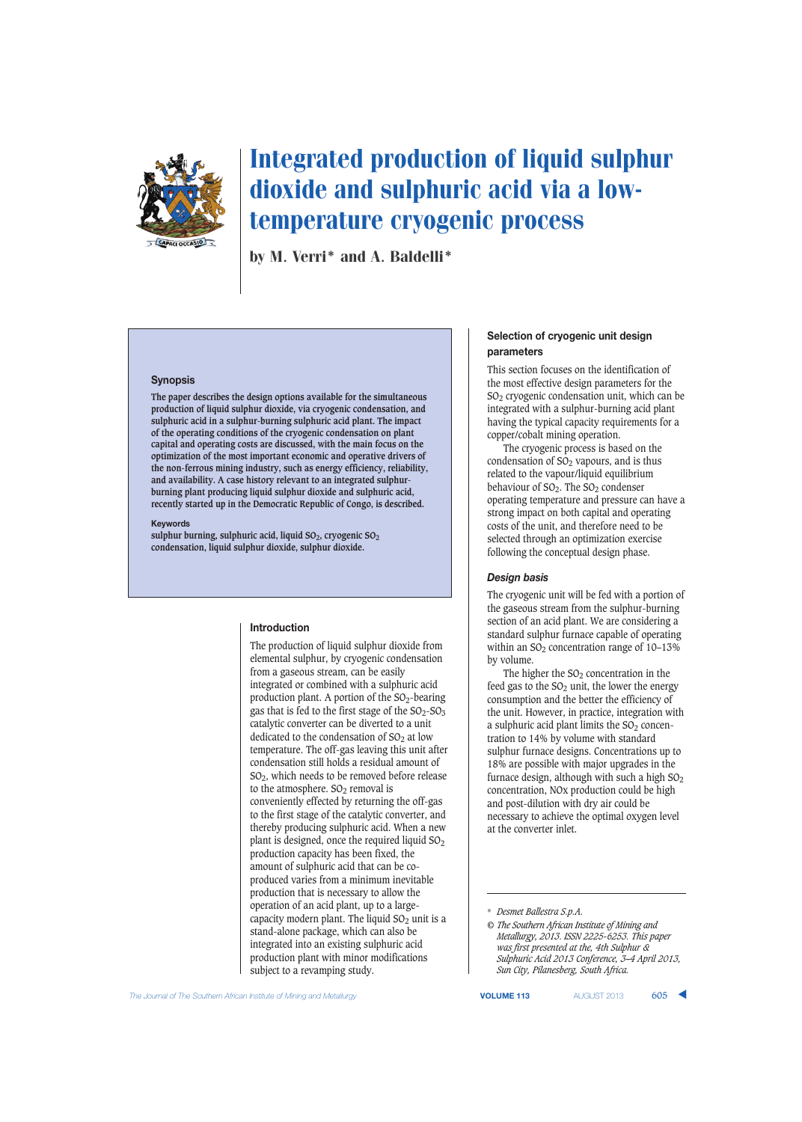

# Integrated production of liquid sulphur dioxide and sulphuric acid via a lowtemperature cryogenic process

by M. Verri\* and A. Baldelli\*

#### **Synopsis**

**The paper describes the design options available for the simultaneous production of liquid sulphur dioxide, via cryogenic condensation, and sulphuric acid in a sulphur-burning sulphuric acid plant. The impact of the operating conditions of the cryogenic condensation on plant capital and operating costs are discussed, with the main focus on the optimization of the most important economic and operative drivers of the non-ferrous mining industry, such as energy efficiency, reliability, and availability. A case history relevant to an integrated sulphurburning plant producing liquid sulphur dioxide and sulphuric acid, recently started up in the Democratic Republic of Congo, is described.**

#### **Keywords**

sulphur burning, sulphuric acid, liquid SO<sub>2</sub>, cryogenic SO<sub>2</sub> **condensation, liquid sulphur dioxide, sulphur dioxide.**

### **Introduction**

The production of liquid sulphur dioxide from elemental sulphur, by cryogenic condensation from a gaseous stream, can be easily integrated or combined with a sulphuric acid production plant. A portion of the  $SO_2$ -bearing gas that is fed to the first stage of the  $SO_2$ - $SO_3$ catalytic converter can be diverted to a unit dedicated to the condensation of  $SO<sub>2</sub>$  at low temperature. The off-gas leaving this unit after condensation still holds a residual amount of SO2, which needs to be removed before release to the atmosphere.  $SO<sub>2</sub>$  removal is conveniently effected by returning the off-gas to the first stage of the catalytic converter, and thereby producing sulphuric acid. When a new plant is designed, once the required liquid  $SO<sub>2</sub>$ production capacity has been fixed, the amount of sulphuric acid that can be coproduced varies from a minimum inevitable production that is necessary to allow the operation of an acid plant, up to a largecapacity modern plant. The liquid  $SO<sub>2</sub>$  unit is a stand-alone package, which can also be integrated into an existing sulphuric acid production plant with minor modifications subject to a revamping study.

## **Selection of cryogenic unit design parameters**

This section focuses on the identification of the most effective design parameters for the SO2 cryogenic condensation unit, which can be integrated with a sulphur-burning acid plant having the typical capacity requirements for a copper/cobalt mining operation.

The cryogenic process is based on the condensation of  $SO<sub>2</sub>$  vapours, and is thus related to the vapour/liquid equilibrium behaviour of  $SO_2$ . The  $SO_2$  condenser operating temperature and pressure can have a strong impact on both capital and operating costs of the unit, and therefore need to be selected through an optimization exercise following the conceptual design phase.

### *Design basis*

The cryogenic unit will be fed with a portion of the gaseous stream from the sulphur-burning section of an acid plant. We are considering a standard sulphur furnace capable of operating within an  $SO<sub>2</sub>$  concentration range of  $10-13\%$ by volume.

The higher the  $SO<sub>2</sub>$  concentration in the feed gas to the  $SO<sub>2</sub>$  unit, the lower the energy consumption and the better the efficiency of the unit. However, in practice, integration with a sulphuric acid plant limits the  $SO<sub>2</sub>$  concentration to 14% by volume with standard sulphur furnace designs. Concentrations up to 18% are possible with major upgrades in the furnace design, although with such a high  $SO<sub>2</sub>$ concentration, NOx production could be high and post-dilution with dry air could be necessary to achieve the optimal oxygen level at the converter inlet.

**The Journal of The Southern African Institute of Mining and Metallurgy <b>VOLUME 113** AUGUST 2013 **605** 

<sup>\*</sup> *Desmet Ballestra S.p.A.*

*<sup>©</sup> The Southern African Institute of Mining and Metallurgy, 2013. ISSN 2225-6253. This paper was first presented at the, 4th Sulphur & Sulphuric Acid 2013 Conference, 3–4 April 2013, Sun City, Pilanesberg, South Africa.*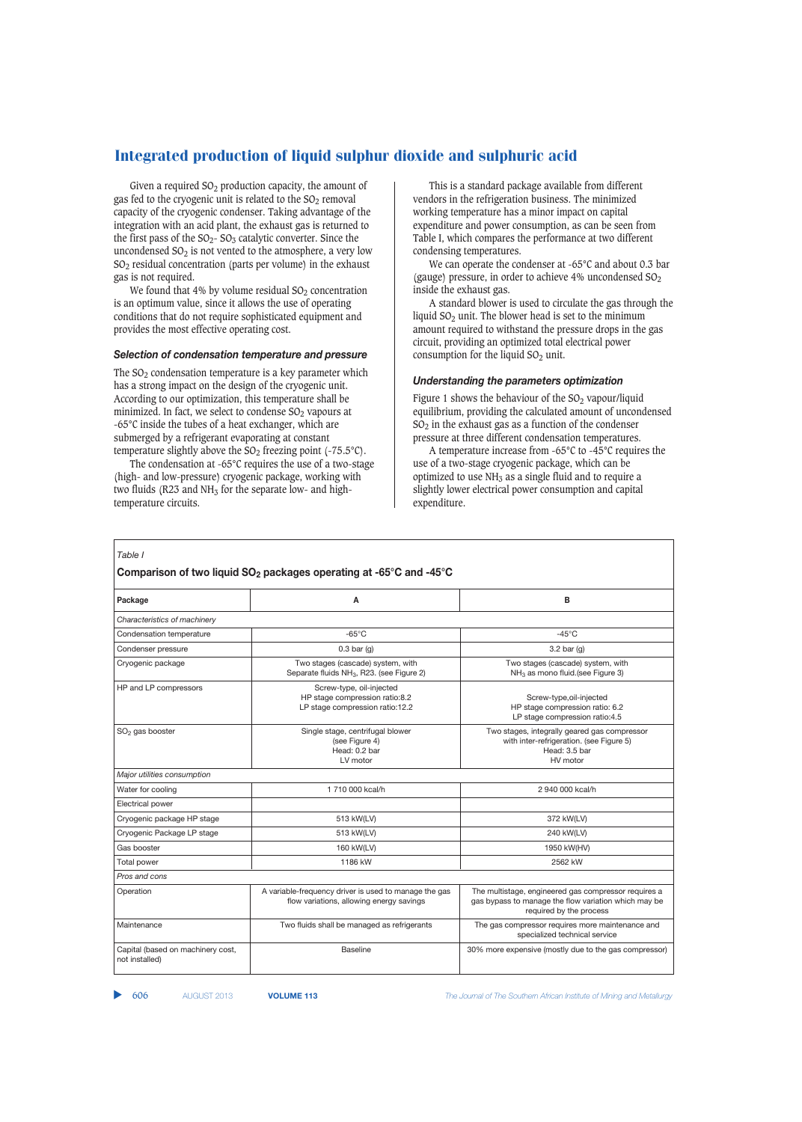Given a required  $SO<sub>2</sub>$  production capacity, the amount of gas fed to the cryogenic unit is related to the  $SO<sub>2</sub>$  removal capacity of the cryogenic condenser. Taking advantage of the integration with an acid plant, the exhaust gas is returned to the first pass of the  $SO_2$ -  $SO_3$  catalytic converter. Since the uncondensed  $SO<sub>2</sub>$  is not vented to the atmosphere, a very low  $SO<sub>2</sub>$  residual concentration (parts per volume) in the exhaust gas is not required.

We found that 4% by volume residual  $SO<sub>2</sub>$  concentration is an optimum value, since it allows the use of operating conditions that do not require sophisticated equipment and provides the most effective operating cost.

#### *Selection of condensation temperature and pressure*

The  $SO<sub>2</sub>$  condensation temperature is a key parameter which has a strong impact on the design of the cryogenic unit. According to our optimization, this temperature shall be minimized. In fact, we select to condense  $SO<sub>2</sub>$  vapours at -65°C inside the tubes of a heat exchanger, which are submerged by a refrigerant evaporating at constant temperature slightly above the  $SO_2$  freezing point (-75.5°C).

The condensation at -65°C requires the use of a two-stage (high- and low-pressure) cryogenic package, working with two fluids (R23 and  $NH<sub>3</sub>$  for the separate low- and hightemperature circuits.

This is a standard package available from different vendors in the refrigeration business. The minimized working temperature has a minor impact on capital expenditure and power consumption, as can be seen from Table I, which compares the performance at two different condensing temperatures.

We can operate the condenser at -65°C and about 0.3 bar (gauge) pressure, in order to achieve 4% uncondensed  $SO<sub>2</sub>$ inside the exhaust gas.

A standard blower is used to circulate the gas through the liquid  $SO<sub>2</sub>$  unit. The blower head is set to the minimum amount required to withstand the pressure drops in the gas circuit, providing an optimized total electrical power consumption for the liquid  $SO<sub>2</sub>$  unit.

#### *Understanding the parameters optimization*

Figure 1 shows the behaviour of the  $SO<sub>2</sub>$  vapour/liquid equilibrium, providing the calculated amount of uncondensed  $SO<sub>2</sub>$  in the exhaust gas as a function of the condenser pressure at three different condensation temperatures.

A temperature increase from -65°C to -45°C requires the use of a two-stage cryogenic package, which can be optimized to use  $NH<sub>3</sub>$  as a single fluid and to require a slightly lower electrical power consumption and capital expenditure.

# Table I **Comparison of two liquid SO2 packages operating at -65°C and -45°C Package A B** *Characteristics of machinery* Condensation temperature  $-65^{\circ}$ C -65°C -45°C Condenser pressure and the condenser pressure of the condenser pressure of the condenser pressure of the condenser of the condenser of the condenser of the condenser of the condenser of the condenser of the condenser of th Cryogenic package Two stages (cascade) system, with Two stages (cascade) system, with Two stages (cascade) system, with Two stages (cascade) system, with Cryogenic packages (cascade) system, with Separate fluids NH<sub>3</sub>, R23 Separate fluids NH<sub>3</sub>, R23. (see Figure 2) HP and LP compressors Screw-type, oil-injected HP stage compression ratio:8.2  $\hphantom{\text{1}}\hphantom{\text{1}}\hphantom{\text{1}}\hphantom{\text{1}}\hphantom{\text{1}}\hphantom{\text{1}}\hphantom{\text{1}}\hphantom{\text{1}}$ LP stage compression ratio:12.2 HP stage compression ratio: 6.2 LP stage compression ratio:4.5 SO<sub>2</sub> gas booster stages and Single stage, centrifugal blower Two stages, integrally geared gas compressor (see Figure 4)<br>(see Figure 4) with inter-refrigeration. (see Figure 5) Head: 0.2 bar Head: 0.2 bar Head: 0.2 bar LV motor **HV** motor *Major utilities consumption* Water for cooling 2 940 000 kcal/h 2 940 000 kcal/h 2 940 000 kcal/h 2 940 000 kcal/h 2 940 000 kcal/h 2 940 000 kcal/h 2 940 000 kcal/h 2 940 000 kcal/h 2 940 000 kcal/h 2 940 000 kcal/h 2 940 000 kcal/h 2 940 000 kcal/h Electrical power Cryogenic package HP stage and the stage 513 kW(LV) 372 kW(LV) 372 kW(LV) Cryogenic Package LP stage 513 kW(LV) 240 kW(LV) Gas booster 160 kW(LV) 1950 kW(HV) Total power 1186 kW 2562 kW *Pros and cons* Operation A variable-frequency driver is used to manage the gas The multistage, engineered gas compressor requires a<br>flow variations, allowing energy savings gas bypass to manage the flow variation which may be gas bypass to manage the flow variation which may be required by the process Maintenance Two fluids shall be managed as refrigerants The gas compressor requires more maintenance and specialized technical service Capital (based on machinery cost, and the state of the Baseline 30% more expensive (mostly due to the gas compressor) not installed)

606 AUGUST 2013 **VOLUME 113** *The Journal of The Southern African Institute of Mining and Metallurgy*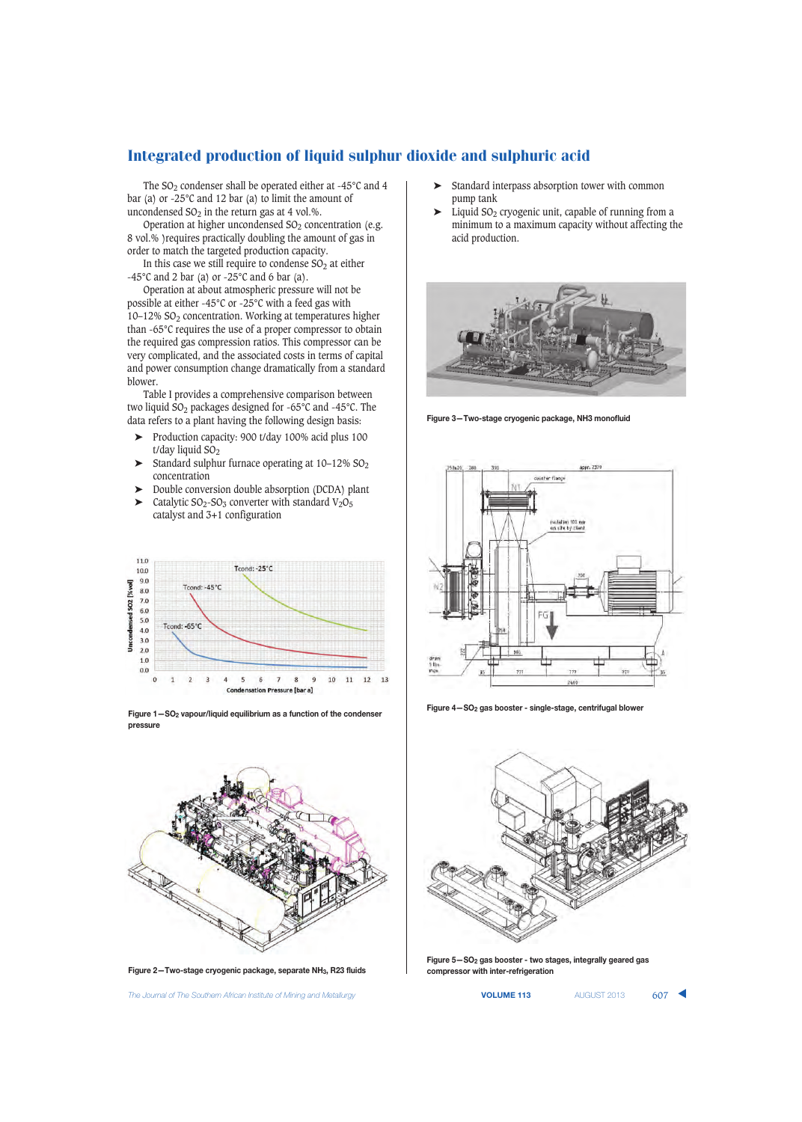The SO<sub>2</sub> condenser shall be operated either at -45°C and 4 bar (a) or -25°C and 12 bar (a) to limit the amount of uncondensed  $SO<sub>2</sub>$  in the return gas at 4 vol.%.

Operation at higher uncondensed  $SO<sub>2</sub>$  concentration (e.g. 8 vol.% )requires practically doubling the amount of gas in order to match the targeted production capacity.

In this case we still require to condense  $SO<sub>2</sub>$  at either -45°C and 2 bar (a) or -25°C and 6 bar (a).

Operation at about atmospheric pressure will not be possible at either -45°C or -25°C with a feed gas with 10-12% SO<sub>2</sub> concentration. Working at temperatures higher than -65°C requires the use of a proper compressor to obtain the required gas compression ratios. This compressor can be very complicated, and the associated costs in terms of capital and power consumption change dramatically from a standard blower.

Table I provides a comprehensive comparison between two liquid SO2 packages designed for -65°C and -45°C. The data refers to a plant having the following design basis:

- ➤ Production capacity: 900 t/day 100% acid plus 100 t/day liquid  $SO<sub>2</sub>$
- $\blacktriangleright$  Standard sulphur furnace operating at 10–12% SO<sub>2</sub> concentration
- ➤ Double conversion double absorption (DCDA) plant  $\blacktriangleright$  Catalytic SO<sub>2</sub>-SO<sub>3</sub> converter with standard V<sub>2</sub>O<sub>5</sub>
- catalyst and 3+1 configuration



**Figure 1—SO2 vapour/liquid equilibrium as a function of the condenser pressure**



**Figure 2—Two-stage cryogenic package, separate NH3, R23 fluids**

**The Journal of The Southern African Institute of Mining and Metallurgy <b>VOLUME 113 VOLUME 113** AUGUST 2013 607

- ➤ Standard interpass absorption tower with common pump tank
- $\blacktriangleright$  Liquid SO<sub>2</sub> cryogenic unit, capable of running from a minimum to a maximum capacity without affecting the acid production.



**Figure 3—Two-stage cryogenic package, NH3 monofluid**



**Figure 4—SO2 gas booster - single-stage, centrifugal blower**



**Figure 5—SO2 gas booster - two stages, integrally geared gas compressor with inter-refrigeration**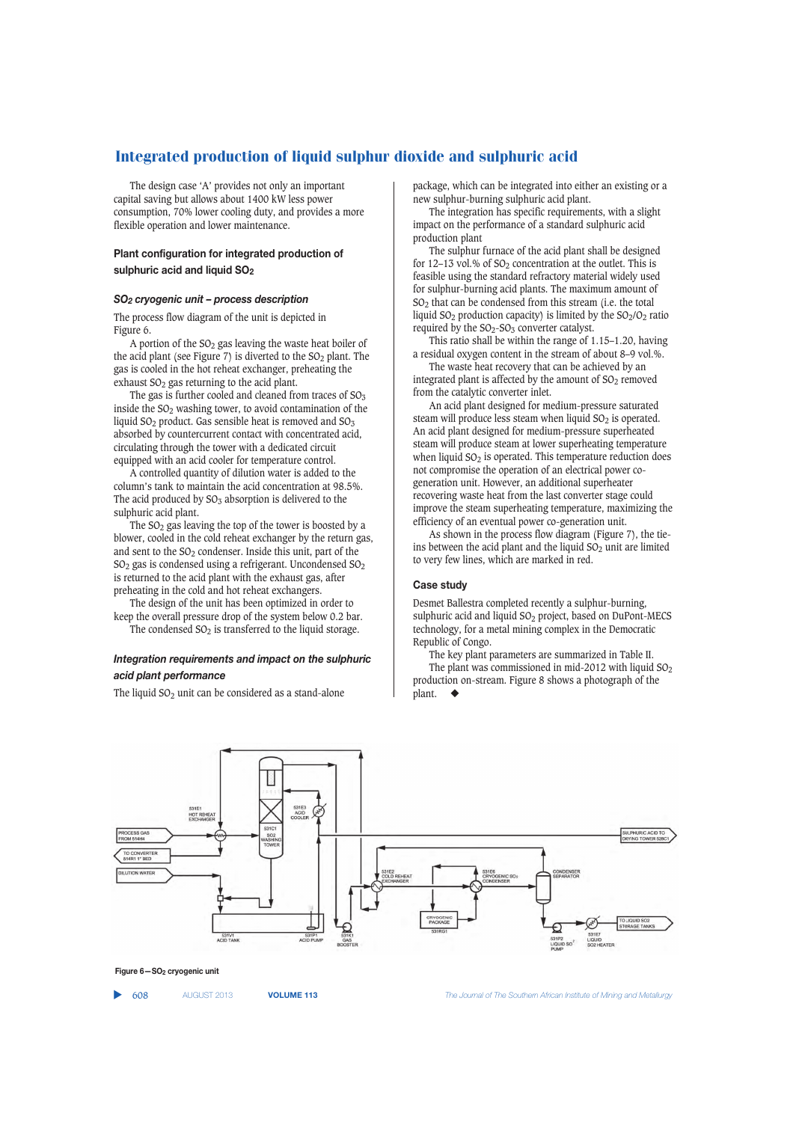The design case 'A' provides not only an important capital saving but allows about 1400 kW less power consumption, 70% lower cooling duty, and provides a more flexible operation and lower maintenance.

# **Plant configuration for integrated production of sulphuric acid and liquid SO2**

#### *SO2 cryogenic unit – process description*

The process flow diagram of the unit is depicted in Figure 6.

A portion of the  $SO<sub>2</sub>$  gas leaving the waste heat boiler of the acid plant (see Figure 7) is diverted to the  $SO<sub>2</sub>$  plant. The gas is cooled in the hot reheat exchanger, preheating the exhaust  $SO<sub>2</sub>$  gas returning to the acid plant.

The gas is further cooled and cleaned from traces of  $SO<sub>3</sub>$ inside the  $SO<sub>2</sub>$  washing tower, to avoid contamination of the liquid  $SO_2$  product. Gas sensible heat is removed and  $SO_3$ absorbed by countercurrent contact with concentrated acid, circulating through the tower with a dedicated circuit equipped with an acid cooler for temperature control.

A controlled quantity of dilution water is added to the column's tank to maintain the acid concentration at 98.5%. The acid produced by  $SO_3$  absorption is delivered to the sulphuric acid plant.

The  $SO<sub>2</sub>$  gas leaving the top of the tower is boosted by a blower, cooled in the cold reheat exchanger by the return gas, and sent to the SO<sub>2</sub> condenser. Inside this unit, part of the  $SO<sub>2</sub>$  gas is condensed using a refrigerant. Uncondensed  $SO<sub>2</sub>$ is returned to the acid plant with the exhaust gas, after preheating in the cold and hot reheat exchangers.

The design of the unit has been optimized in order to keep the overall pressure drop of the system below 0.2 bar. The condensed  $SO<sub>2</sub>$  is transferred to the liquid storage.

# *Integration requirements and impact on the sulphuric*

The liquid  $SO<sub>2</sub>$  unit can be considered as a stand-alone

*acid plant performance*

package, which can be integrated into either an existing or a new sulphur-burning sulphuric acid plant.

The integration has specific requirements, with a slight impact on the performance of a standard sulphuric acid production plant

The sulphur furnace of the acid plant shall be designed for 12–13 vol.% of  $SO<sub>2</sub>$  concentration at the outlet. This is feasible using the standard refractory material widely used for sulphur-burning acid plants. The maximum amount of SO2 that can be condensed from this stream (i.e. the total liquid  $SO_2$  production capacity) is limited by the  $SO_2/O_2$  ratio required by the  $SO_2$ - $SO_3$  converter catalyst.

This ratio shall be within the range of 1.15–1.20, having a residual oxygen content in the stream of about 8–9 vol.%.

The waste heat recovery that can be achieved by an integrated plant is affected by the amount of  $SO<sub>2</sub>$  removed from the catalytic converter inlet.

An acid plant designed for medium-pressure saturated steam will produce less steam when liquid  $SO<sub>2</sub>$  is operated. An acid plant designed for medium-pressure superheated steam will produce steam at lower superheating temperature when liquid  $SO<sub>2</sub>$  is operated. This temperature reduction does not compromise the operation of an electrical power cogeneration unit. However, an additional superheater recovering waste heat from the last converter stage could improve the steam superheating temperature, maximizing the efficiency of an eventual power co-generation unit.

As shown in the process flow diagram (Figure 7), the tieins between the acid plant and the liquid  $SO<sub>2</sub>$  unit are limited to very few lines, which are marked in red.

#### **Case study**

Desmet Ballestra completed recently a sulphur-burning, sulphuric acid and liquid SO<sub>2</sub> project, based on DuPont-MECS technology, for a metal mining complex in the Democratic Republic of Congo.

The key plant parameters are summarized in Table II. The plant was commissioned in mid-2012 with liquid  $SO<sub>2</sub>$ production on-stream. Figure 8 shows a photograph of the plant.





▲

608 AUGUST 2013 **VOLUME 113** *The Journal of The Southern African Institute of Mining and Metallurgy*